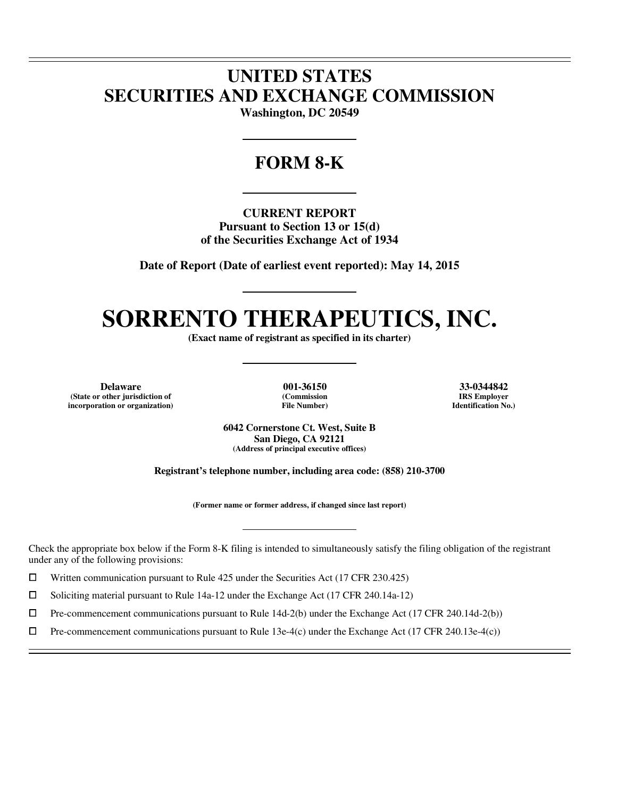## **UNITED STATES SECURITIES AND EXCHANGE COMMISSION**

**Washington, DC 20549** 

### **FORM 8-K**

**CURRENT REPORT Pursuant to Section 13 or 15(d) of the Securities Exchange Act of 1934** 

**Date of Report (Date of earliest event reported): May 14, 2015** 

# **SORRENTO THERAPEUTICS, INC.**

**(Exact name of registrant as specified in its charter)** 

**Delaware 001-36150 33-0344842 (State or other jurisdiction of incorporation or organization)**

 $\overline{a}$  $\overline{a}$ 

 $\overline{a}$ 

**(Commission File Number)**

**IRS Employer Identification No.)**

**6042 Cornerstone Ct. West, Suite B San Diego, CA 92121 (Address of principal executive offices)** 

**Registrant's telephone number, including area code: (858) 210-3700** 

**(Former name or former address, if changed since last report)** 

Check the appropriate box below if the Form 8-K filing is intended to simultaneously satisfy the filing obligation of the registrant under any of the following provisions:

 $□$  Written communication pursuant to Rule 425 under the Securities Act (17 CFR 230.425)<br>
□ Soliciting material pursuant to Rule 14a-12 under the Exchange Act (17 CFR 240.14a-12)

<p>□ Soliciting material pursuit to Rule 14a-12 under the Exchange Act (17 CFR 240.14a-12)</p>\n<p>□ Pre-component communications pursuit to Rule 14d-2(b) under the Exchange Act (17 CFR 240.14a-12)</p>

 $\Box$  Pre-commencement communications pursuant to Rule 14d-2(b) under the Exchange Act (17 CFR 240.14d-2(b))<br>  $\Box$  Pre-commencement communications pursuant to Rule 13e-4(c) under the Exchange Act (17 CFR 240.13e-4(c))

Pre-commencement communications pursuant to Rule 13e-4(c) under the Exchange Act (17 CFR 240.13e-4(c))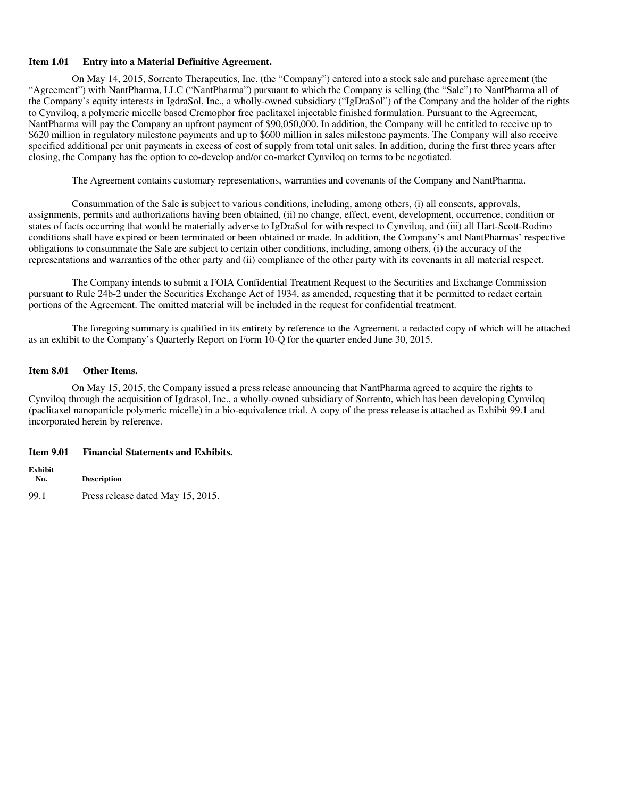### **Item 1.01 Entry into a Material Definitive Agreement.**

On May 14, 2015, Sorrento Therapeutics, Inc. (the "Company") entered into a stock sale and purchase agreement (the "Agreement") with NantPharma, LLC ("NantPharma") pursuant to which the Company is selling (the "Sale") to NantPharma all of the Company's equity interests in IgdraSol, Inc., a wholly-owned subsidiary ("IgDraSol") of the Company and the holder of the rights to Cynviloq, a polymeric micelle based Cremophor free paclitaxel injectable finished formulation. Pursuant to the Agreement, NantPharma will pay the Company an upfront payment of \$90,050,000. In addition, the Company will be entitled to receive up to \$620 million in regulatory milestone payments and up to \$600 million in sales milestone payments. The Company will also receive specified additional per unit payments in excess of cost of supply from total unit sales. In addition, during the first three years after closing, the Company has the option to co-develop and/or co-market Cynviloq on terms to be negotiated.

The Agreement contains customary representations, warranties and covenants of the Company and NantPharma.

Consummation of the Sale is subject to various conditions, including, among others, (i) all consents, approvals, assignments, permits and authorizations having been obtained, (ii) no change, effect, event, development, occurrence, condition or states of facts occurring that would be materially adverse to IgDraSol for with respect to Cynviloq, and (iii) all Hart-Scott-Rodino conditions shall have expired or been terminated or been obtained or made. In addition, the Company's and NantPharmas' respective obligations to consummate the Sale are subject to certain other conditions, including, among others, (i) the accuracy of the representations and warranties of the other party and (ii) compliance of the other party with its covenants in all material respect.

The Company intends to submit a FOIA Confidential Treatment Request to the Securities and Exchange Commission pursuant to Rule 24b-2 under the Securities Exchange Act of 1934, as amended, requesting that it be permitted to redact certain portions of the Agreement. The omitted material will be included in the request for confidential treatment.

The foregoing summary is qualified in its entirety by reference to the Agreement, a redacted copy of which will be attached as an exhibit to the Company's Quarterly Report on Form 10-Q for the quarter ended June 30, 2015.

### **Item 8.01 Other Items.**

On May 15, 2015, the Company issued a press release announcing that NantPharma agreed to acquire the rights to Cynviloq through the acquisition of Igdrasol, Inc., a wholly-owned subsidiary of Sorrento, which has been developing Cynviloq (paclitaxel nanoparticle polymeric micelle) in a bio-equivalence trial. A copy of the press release is attached as Exhibit 99.1 and incorporated herein by reference.

### **Item 9.01 Financial Statements and Exhibits.**

**Exhibit No. Description** 99.1 Press release dated May 15, 2015.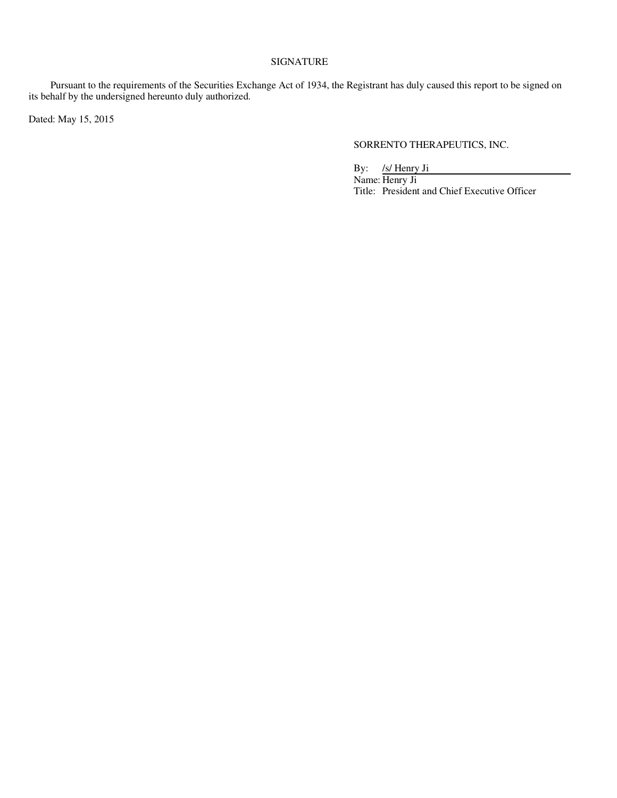### SIGNATURE

Pursuant to the requirements of the Securities Exchange Act of 1934, the Registrant has duly caused this report to be signed on its behalf by the undersigned hereunto duly authorized.

Dated: May 15, 2015

### SORRENTO THERAPEUTICS, INC.

By: /s/ Henry Ji

Name: Henry Ji Title: President and Chief Executive Officer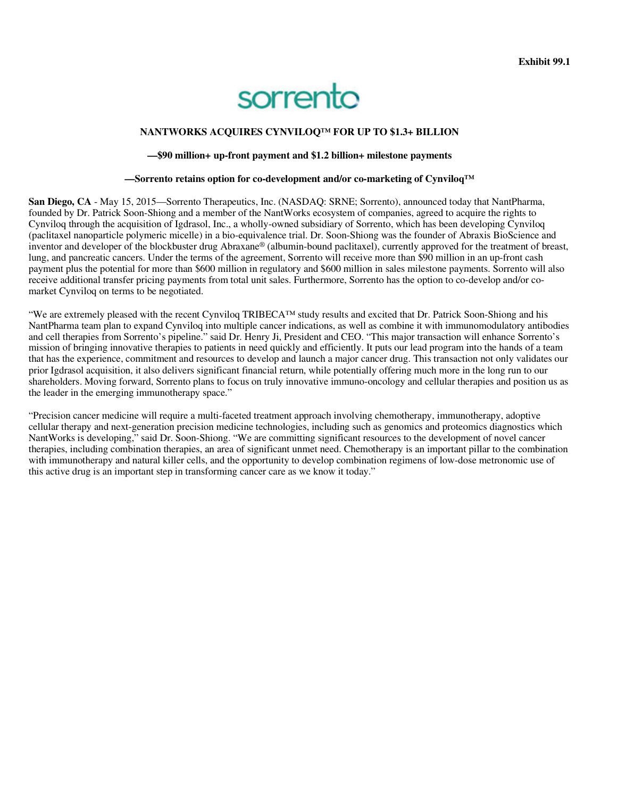# sorrento

### **NANTWORKS ACQUIRES CYNVILOQ™ FOR UP TO \$1.3+ BILLION**

### **—\$90 million+ up-front payment and \$1.2 billion+ milestone payments**

#### **—Sorrento retains option for co-development and/or co-marketing of Cynviloq™**

**San Diego, CA** - May 15, 2015—Sorrento Therapeutics, Inc. (NASDAQ: SRNE; Sorrento), announced today that NantPharma, founded by Dr. Patrick Soon-Shiong and a member of the NantWorks ecosystem of companies, agreed to acquire the rights to Cynviloq through the acquisition of Igdrasol, Inc., a wholly-owned subsidiary of Sorrento, which has been developing Cynviloq (paclitaxel nanoparticle polymeric micelle) in a bio-equivalence trial. Dr. Soon-Shiong was the founder of Abraxis BioScience and inventor and developer of the blockbuster drug Abraxane® (albumin-bound paclitaxel), currently approved for the treatment of breast, lung, and pancreatic cancers. Under the terms of the agreement, Sorrento will receive more than \$90 million in an up-front cash payment plus the potential for more than \$600 million in regulatory and \$600 million in sales milestone payments. Sorrento will also receive additional transfer pricing payments from total unit sales. Furthermore, Sorrento has the option to co-develop and/or comarket Cynviloq on terms to be negotiated.

"We are extremely pleased with the recent Cynviloq TRIBECA™ study results and excited that Dr. Patrick Soon-Shiong and his NantPharma team plan to expand Cynviloq into multiple cancer indications, as well as combine it with immunomodulatory antibodies and cell therapies from Sorrento's pipeline." said Dr. Henry Ji, President and CEO. "This major transaction will enhance Sorrento's mission of bringing innovative therapies to patients in need quickly and efficiently. It puts our lead program into the hands of a team that has the experience, commitment and resources to develop and launch a major cancer drug. This transaction not only validates our prior Igdrasol acquisition, it also delivers significant financial return, while potentially offering much more in the long run to our shareholders. Moving forward, Sorrento plans to focus on truly innovative immuno-oncology and cellular therapies and position us as the leader in the emerging immunotherapy space."

"Precision cancer medicine will require a multi-faceted treatment approach involving chemotherapy, immunotherapy, adoptive cellular therapy and next-generation precision medicine technologies, including such as genomics and proteomics diagnostics which NantWorks is developing," said Dr. Soon-Shiong. "We are committing significant resources to the development of novel cancer therapies, including combination therapies, an area of significant unmet need. Chemotherapy is an important pillar to the combination with immunotherapy and natural killer cells, and the opportunity to develop combination regimens of low-dose metronomic use of this active drug is an important step in transforming cancer care as we know it today."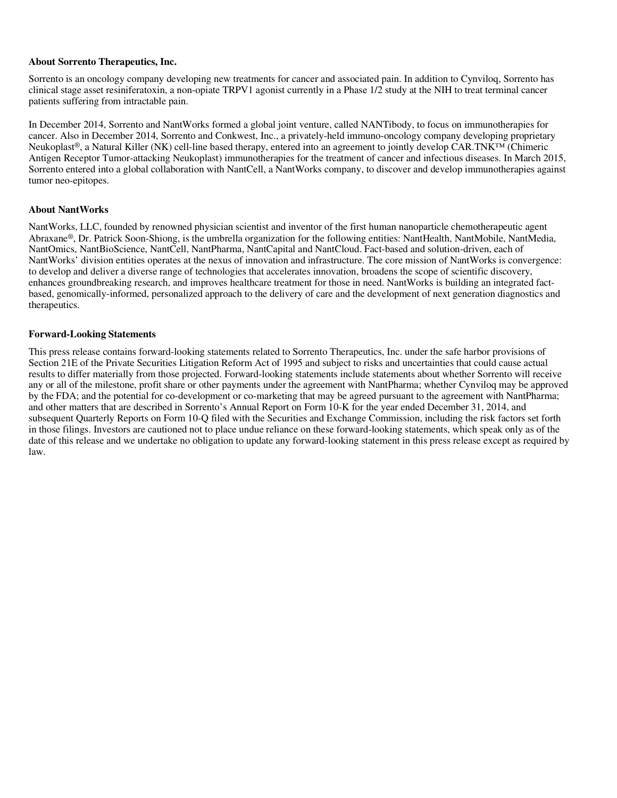### **About Sorrento Therapeutics, Inc.**

Sorrento is an oncology company developing new treatments for cancer and associated pain. In addition to Cynviloq, Sorrento has clinical stage asset resiniferatoxin, a non-opiate TRPV1 agonist currently in a Phase 1/2 study at the NIH to treat terminal cancer patients suffering from intractable pain.

In December 2014, Sorrento and NantWorks formed a global joint venture, called NANTibody, to focus on immunotherapies for cancer. Also in December 2014, Sorrento and Conkwest, Inc., a privately-held immuno-oncology company developing proprietary Neukoplast®, a Natural Killer (NK) cell-line based therapy, entered into an agreement to jointly develop CAR.TNK™ (Chimeric Antigen Receptor Tumor-attacking Neukoplast) immunotherapies for the treatment of cancer and infectious diseases. In March 2015, Sorrento entered into a global collaboration with NantCell, a NantWorks company, to discover and develop immunotherapies against tumor neo-epitopes.

### **About NantWorks**

NantWorks, LLC, founded by renowned physician scientist and inventor of the first human nanoparticle chemotherapeutic agent Abraxane®, Dr. Patrick Soon-Shiong, is the umbrella organization for the following entities: NantHealth, NantMobile, NantMedia, NantOmics, NantBioScience, NantCell, NantPharma, NantCapital and NantCloud. Fact-based and solution-driven, each of NantWorks' division entities operates at the nexus of innovation and infrastructure. The core mission of NantWorks is convergence: to develop and deliver a diverse range of technologies that accelerates innovation, broadens the scope of scientific discovery, enhances groundbreaking research, and improves healthcare treatment for those in need. NantWorks is building an integrated factbased, genomically-informed, personalized approach to the delivery of care and the development of next generation diagnostics and therapeutics.

### **Forward-Looking Statements**

This press release contains forward-looking statements related to Sorrento Therapeutics, Inc. under the safe harbor provisions of Section 21E of the Private Securities Litigation Reform Act of 1995 and subject to risks and uncertainties that could cause actual results to differ materially from those projected. Forward-looking statements include statements about whether Sorrento will receive any or all of the milestone, profit share or other payments under the agreement with NantPharma; whether Cynviloq may be approved by the FDA; and the potential for co-development or co-marketing that may be agreed pursuant to the agreement with NantPharma; and other matters that are described in Sorrento's Annual Report on Form 10-K for the year ended December 31, 2014, and subsequent Quarterly Reports on Form 10-Q filed with the Securities and Exchange Commission, including the risk factors set forth in those filings. Investors are cautioned not to place undue reliance on these forward-looking statements, which speak only as of the date of this release and we undertake no obligation to update any forward-looking statement in this press release except as required by law.